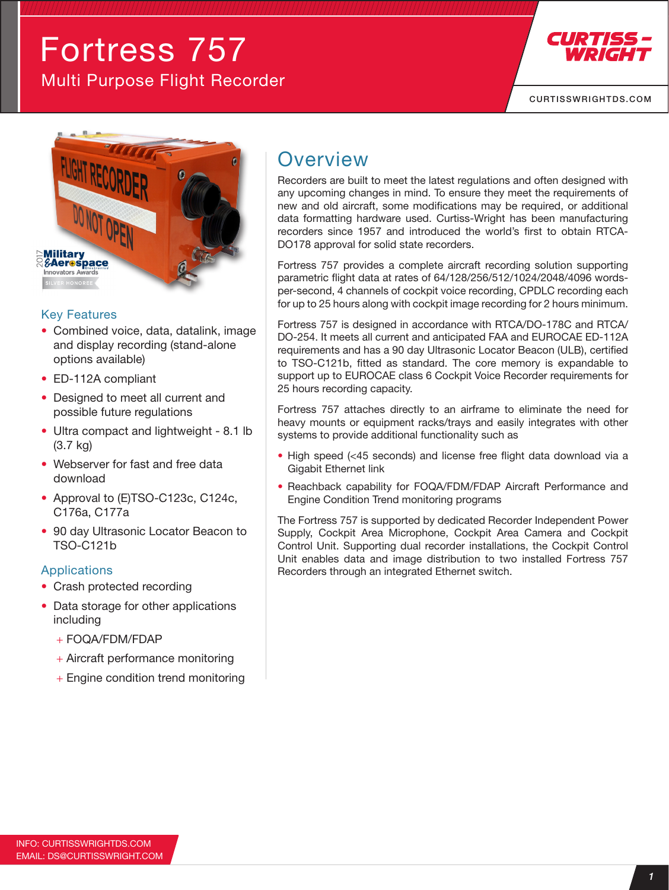# Fortress 757 Multi Purpose Flight Recorder



[CURTISSWRIGHTDS.COM](http://CurtissWrightDS.com)



#### Key Features

- Combined voice, data, datalink, image and display recording (stand-alone options available)
- ED-112A compliant
- Designed to meet all current and possible future regulations
- Ultra compact and lightweight 8.1 lb (3.7 kg)
- Webserver for fast and free data download
- Approval to (E)TSO-C123c, C124c, C176a, C177a
- 90 day Ultrasonic Locator Beacon to TSO-C121b

#### Applications

- Crash protected recording
- Data storage for other applications including
	- $+$  FOQA/FDM/FDAP
	- + Aircraft performance monitoring
	- + Engine condition trend monitoring

### **Overview**

Recorders are built to meet the latest regulations and often designed with any upcoming changes in mind. To ensure they meet the requirements of new and old aircraft, some modifications may be required, or additional data formatting hardware used. Curtiss-Wright has been manufacturing recorders since 1957 and introduced the world's first to obtain RTCA-DO178 approval for solid state recorders.

Fortress 757 provides a complete aircraft recording solution supporting parametric flight data at rates of 64/128/256/512/1024/2048/4096 wordsper-second, 4 channels of cockpit voice recording, CPDLC recording each for up to 25 hours along with cockpit image recording for 2 hours minimum.

Fortress 757 is designed in accordance with RTCA/DO-178C and RTCA/ DO-254. It meets all current and anticipated FAA and EUROCAE ED-112A requirements and has a 90 day Ultrasonic Locator Beacon (ULB), certified to TSO-C121b, fitted as standard. The core memory is expandable to support up to EUROCAE class 6 Cockpit Voice Recorder requirements for 25 hours recording capacity.

Fortress 757 attaches directly to an airframe to eliminate the need for heavy mounts or equipment racks/trays and easily integrates with other systems to provide additional functionality such as

- High speed (<45 seconds) and license free flight data download via a Gigabit Ethernet link
- Reachback capability for FOQA/FDM/FDAP Aircraft Performance and Engine Condition Trend monitoring programs

The Fortress 757 is supported by dedicated Recorder Independent Power Supply, Cockpit Area Microphone, Cockpit Area Camera and Cockpit Control Unit. Supporting dual recorder installations, the Cockpit Control Unit enables data and image distribution to two installed Fortress 757 Recorders through an integrated Ethernet switch.